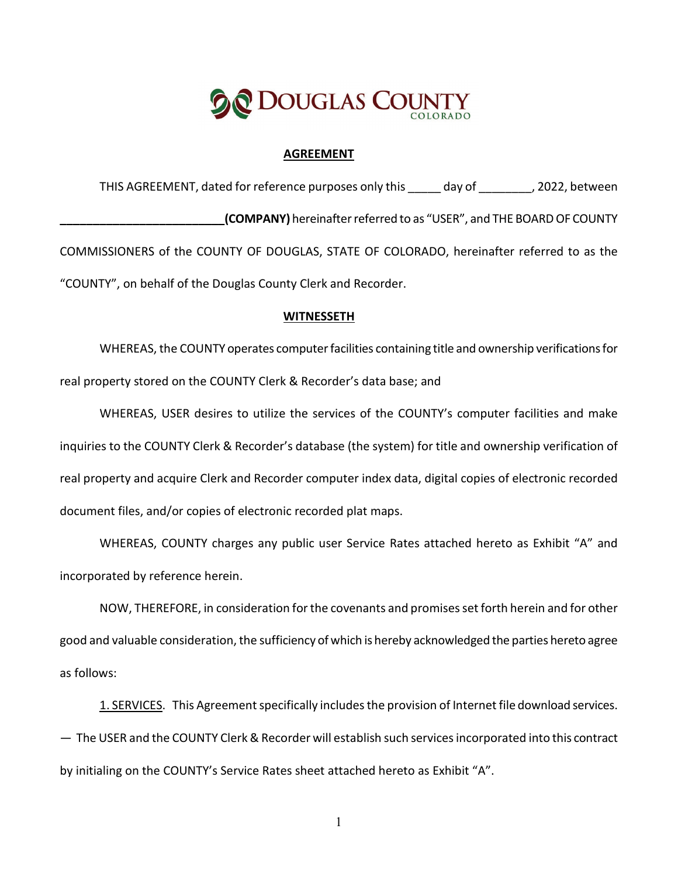

#### **AGREEMENT**

THIS AGREEMENT, dated for reference purposes only this \_\_\_\_\_ day of \_\_\_\_\_\_\_, 2022, between **\_\_\_\_\_\_\_\_\_\_\_\_\_\_\_\_\_\_\_\_\_\_\_\_\_(COMPANY)** hereinafter referred to as "USER", and THE BOARD OF COUNTY COMMISSIONERS of the COUNTY OF DOUGLAS, STATE OF COLORADO, hereinafter referred to as the "COUNTY", on behalf of the Douglas County Clerk and Recorder.

#### **WITNESSETH**

WHEREAS, the COUNTY operates computer facilities containing title and ownership verifications for real property stored on the COUNTY Clerk & Recorder's data base; and

WHEREAS, USER desires to utilize the services of the COUNTY's computer facilities and make inquiries to the COUNTY Clerk & Recorder's database (the system) for title and ownership verification of real property and acquire Clerk and Recorder computer index data, digital copies of electronic recorded document files, and/or copies of electronic recorded plat maps.

WHEREAS, COUNTY charges any public user Service Rates attached hereto as Exhibit "A" and incorporated by reference herein.

NOW, THEREFORE, in consideration for the covenants and promises set forth herein and for other good and valuable consideration, the sufficiency of which is hereby acknowledged the parties hereto agree as follows:

1. SERVICES. This Agreement specifically includes the provision of Internet file download services. ― The USER and the COUNTY Clerk & Recorder will establish such services incorporated into this contract by initialing on the COUNTY's Service Rates sheet attached hereto as Exhibit "A".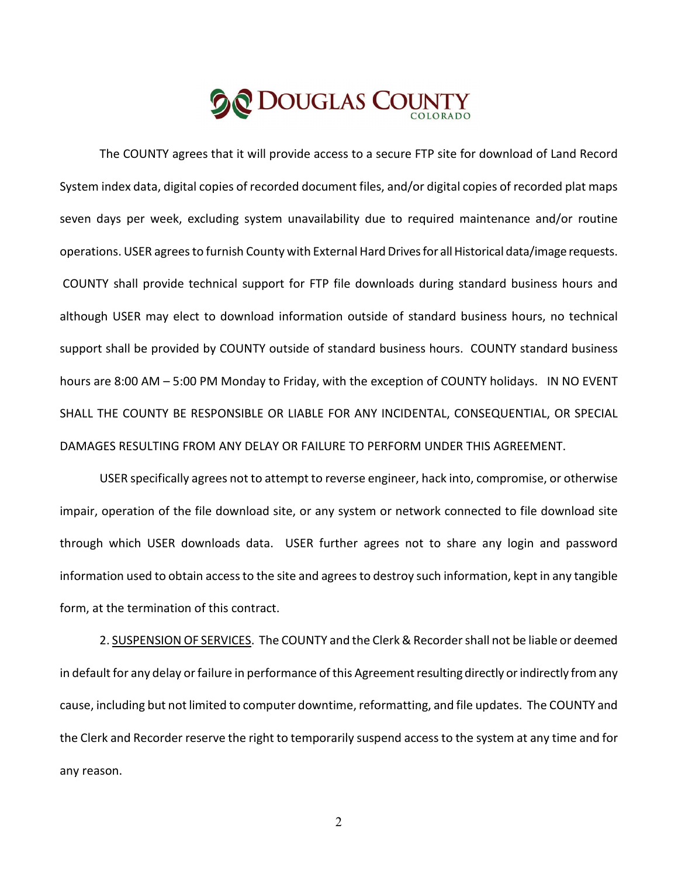The COUNTY agrees that it will provide access to a secure FTP site for download of Land Record System index data, digital copies of recorded document files, and/or digital copies of recorded plat maps seven days per week, excluding system unavailability due to required maintenance and/or routine operations. USER agrees to furnish County with External Hard Drives for all Historical data/image requests. COUNTY shall provide technical support for FTP file downloads during standard business hours and although USER may elect to download information outside of standard business hours, no technical support shall be provided by COUNTY outside of standard business hours. COUNTY standard business hours are 8:00 AM – 5:00 PM Monday to Friday, with the exception of COUNTY holidays. IN NO EVENT SHALL THE COUNTY BE RESPONSIBLE OR LIABLE FOR ANY INCIDENTAL, CONSEQUENTIAL, OR SPECIAL DAMAGES RESULTING FROM ANY DELAY OR FAILURE TO PERFORM UNDER THIS AGREEMENT.

USER specifically agrees not to attempt to reverse engineer, hack into, compromise, or otherwise impair, operation of the file download site, or any system or network connected to file download site through which USER downloads data. USER further agrees not to share any login and password information used to obtain access to the site and agrees to destroy such information, kept in any tangible form, at the termination of this contract.

2. SUSPENSION OF SERVICES. The COUNTY and the Clerk & Recorder shall not be liable or deemed in default for any delay or failure in performance of this Agreement resulting directly or indirectly from any cause, including but not limited to computer downtime, reformatting, and file updates. The COUNTY and the Clerk and Recorder reserve the right to temporarily suspend access to the system at any time and for any reason.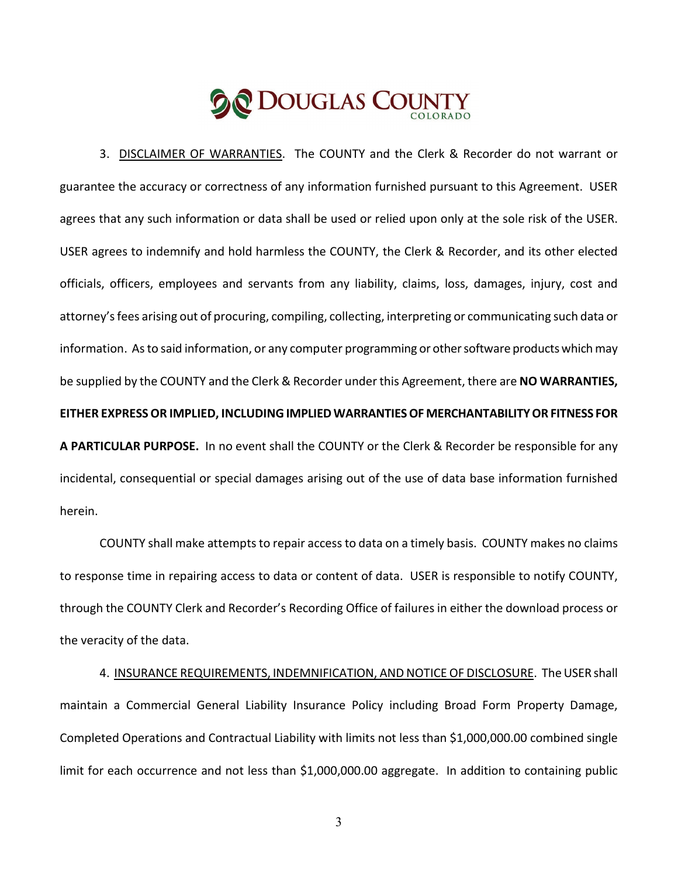3. DISCLAIMER OF WARRANTIES. The COUNTY and the Clerk & Recorder do not warrant or guarantee the accuracy or correctness of any information furnished pursuant to this Agreement. USER agrees that any such information or data shall be used or relied upon only at the sole risk of the USER. USER agrees to indemnify and hold harmless the COUNTY, the Clerk & Recorder, and its other elected officials, officers, employees and servants from any liability, claims, loss, damages, injury, cost and attorney's fees arising out of procuring, compiling, collecting, interpreting or communicating such data or information. As to said information, or any computer programming or other software products which may be supplied by the COUNTY and the Clerk & Recorder under this Agreement, there are **NO WARRANTIES, EITHER EXPRESS OR IMPLIED, INCLUDING IMPLIED WARRANTIES OF MERCHANTABILITY OR FITNESS FOR A PARTICULAR PURPOSE.** In no event shall the COUNTY or the Clerk & Recorder be responsible for any incidental, consequential or special damages arising out of the use of data base information furnished herein.

COUNTY shall make attempts to repair access to data on a timely basis. COUNTY makes no claims to response time in repairing access to data or content of data. USER is responsible to notify COUNTY, through the COUNTY Clerk and Recorder's Recording Office of failures in either the download process or the veracity of the data.

4. INSURANCE REQUIREMENTS, INDEMNIFICATION, AND NOTICE OF DISCLOSURE. The USER shall maintain a Commercial General Liability Insurance Policy including Broad Form Property Damage, Completed Operations and Contractual Liability with limits not less than \$1,000,000.00 combined single limit for each occurrence and not less than \$1,000,000.00 aggregate. In addition to containing public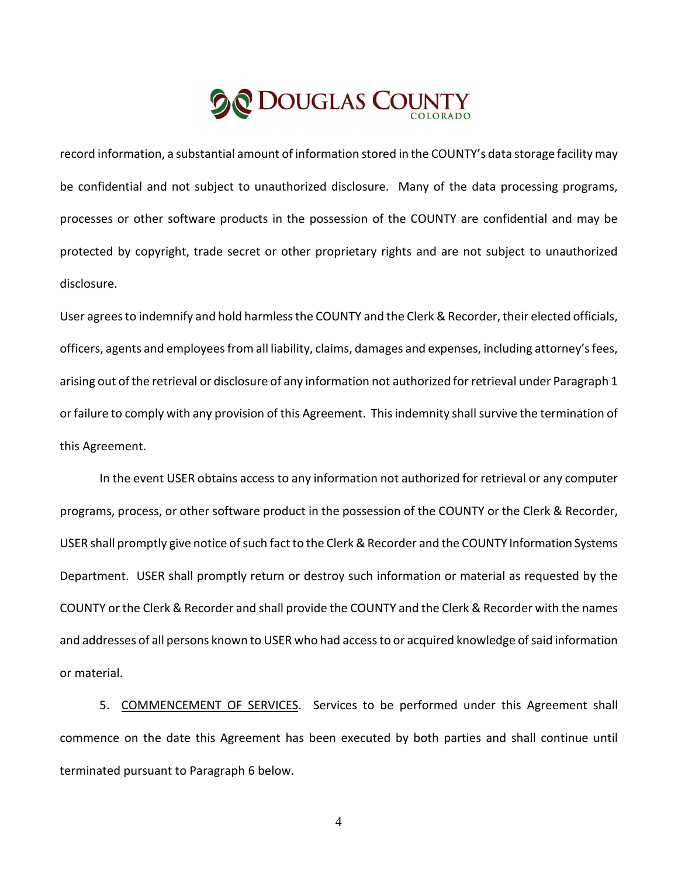record information, a substantial amount of information stored in the COUNTY's data storage facility may be confidential and not subject to unauthorized disclosure. Many of the data processing programs, processes or other software products in the possession of the COUNTY are confidential and may be protected by copyright, trade secret or other proprietary rights and are not subject to unauthorized disclosure.

User agrees to indemnify and hold harmless the COUNTY and the Clerk & Recorder, their elected officials, officers, agents and employees from all liability, claims, damages and expenses, including attorney's fees, arising out of the retrieval or disclosure of any information not authorized for retrieval under Paragraph 1 or failure to comply with any provision of this Agreement. This indemnity shall survive the termination of this Agreement.

In the event USER obtains access to any information not authorized for retrieval or any computer programs, process, or other software product in the possession of the COUNTY or the Clerk & Recorder, USER shall promptly give notice of such fact to the Clerk & Recorder and the COUNTY Information Systems Department. USER shall promptly return or destroy such information or material as requested by the COUNTY or the Clerk & Recorder and shall provide the COUNTY and the Clerk & Recorder with the names and addresses of all persons known to USER who had access to or acquired knowledge of said information or material.

5. COMMENCEMENT OF SERVICES. Services to be performed under this Agreement shall commence on the date this Agreement has been executed by both parties and shall continue until terminated pursuant to Paragraph 6 below.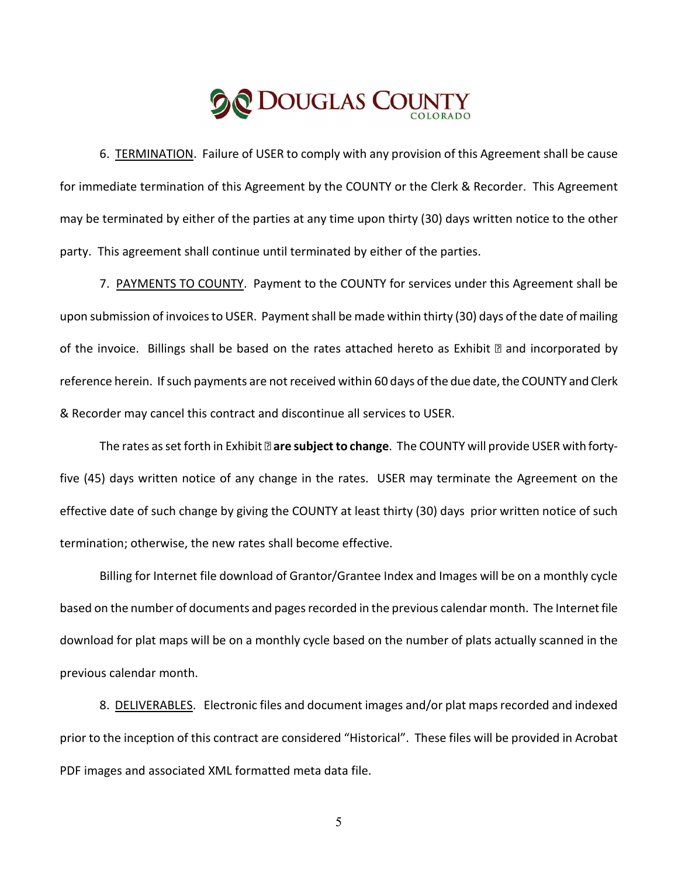# **De DOUGLAS COUNT**

6. TERMINATION. Failure of USER to comply with any provision of this Agreement shall be cause for immediate termination of this Agreement by the COUNTY or the Clerk & Recorder. This Agreement may be terminated by either of the parties at any time upon thirty (30) days written notice to the other party. This agreement shall continue until terminated by either of the parties.

7. PAYMENTS TO COUNTY. Payment to the COUNTY for services under this Agreement shall be upon submission of invoices to USER. Payment shall be made within thirty (30) days of the date of mailing of the invoice. Billings shall be based on the rates attached hereto as Exhibit **a** and incorporated by reference herein. If such payments are not received within 60 days of the due date, the COUNTY and Clerk & Recorder may cancel this contract and discontinue all services to USER.

The rates as set forth in Exhibit **are subject to change**. The COUNTY will provide USER with fortyfive (45) days written notice of any change in the rates. USER may terminate the Agreement on the effective date of such change by giving the COUNTY at least thirty (30) days prior written notice of such termination; otherwise, the new rates shall become effective.

Billing for Internet file download of Grantor/Grantee Index and Images will be on a monthly cycle based on the number of documents and pages recorded in the previous calendar month. The Internet file download for plat maps will be on a monthly cycle based on the number of plats actually scanned in the previous calendar month.

8. DELIVERABLES. Electronic files and document images and/or plat maps recorded and indexed prior to the inception of this contract are considered "Historical". These files will be provided in Acrobat PDF images and associated XML formatted meta data file.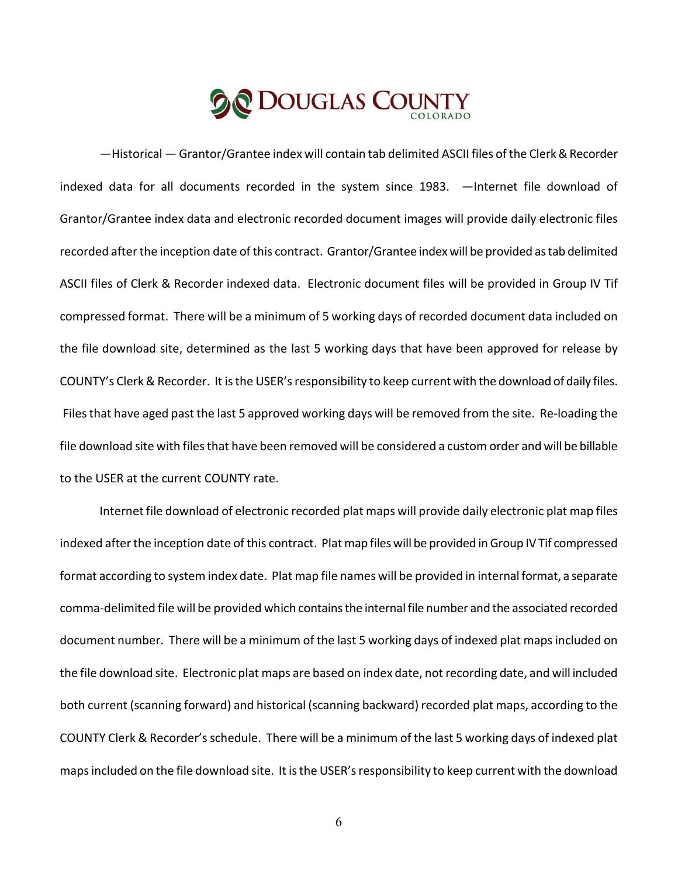―Historical ― Grantor/Grantee index will contain tab delimited ASCII files of the Clerk & Recorder indexed data for all documents recorded in the system since 1983. ―Internet file download of Grantor/Grantee index data and electronic recorded document images will provide daily electronic files recorded after the inception date of this contract. Grantor/Grantee index will be provided as tab delimited ASCII files of Clerk & Recorder indexed data. Electronic document files will be provided in Group IV Tif compressed format. There will be a minimum of 5 working days of recorded document data included on the file download site, determined as the last 5 working days that have been approved for release by COUNTY's Clerk & Recorder. It is the USER's responsibility to keep current with the download of daily files. Files that have aged past the last 5 approved working days will be removed from the site. Re-loading the file download site with files that have been removed will be considered a custom order and will be billable to the USER at the current COUNTY rate.

Internet file download of electronic recorded plat maps will provide daily electronic plat map files indexed after the inception date of this contract. Plat map files will be provided in Group IV Tif compressed format according to system index date. Plat map file names will be provided in internal format, a separate comma-delimited file will be provided which contains the internal file number and the associated recorded document number. There will be a minimum of the last 5 working days of indexed plat maps included on the file download site. Electronic plat maps are based on index date, not recording date, and will included both current (scanning forward) and historical (scanning backward) recorded plat maps, according to the COUNTY Clerk & Recorder's schedule. There will be a minimum of the last 5 working days of indexed plat maps included on the file download site. It is the USER's responsibility to keep current with the download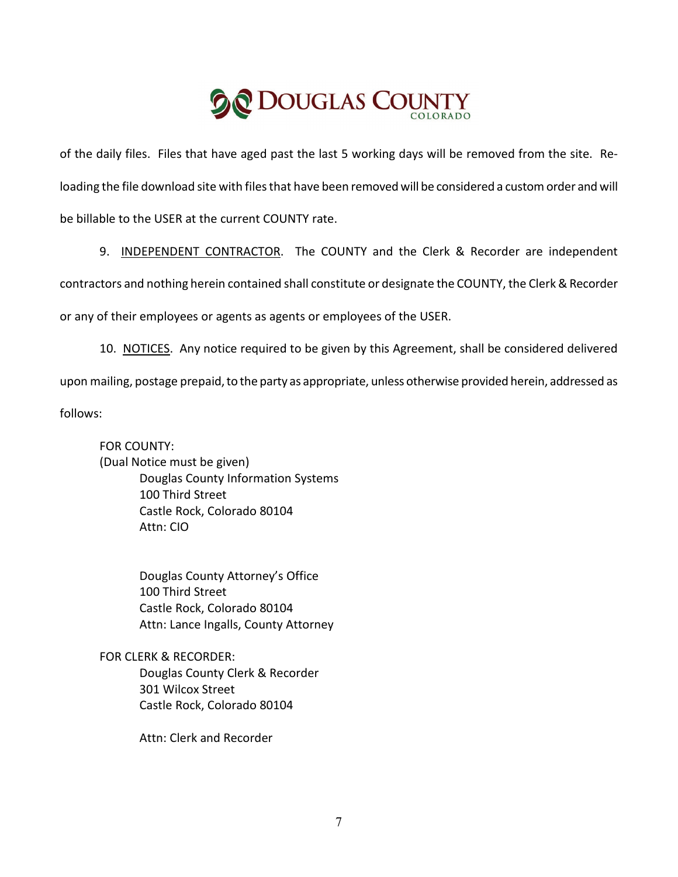of the daily files. Files that have aged past the last 5 working days will be removed from the site. Reloading the file download site with files that have been removed will be considered a custom order and will be billable to the USER at the current COUNTY rate.

9. INDEPENDENT CONTRACTOR. The COUNTY and the Clerk & Recorder are independent

contractors and nothing herein contained shall constitute or designate the COUNTY, the Clerk & Recorder

or any of their employees or agents as agents or employees of the USER.

10. NOTICES. Any notice required to be given by this Agreement, shall be considered delivered upon mailing, postage prepaid, to the party as appropriate, unless otherwise provided herein, addressed as follows:

FOR COUNTY: (Dual Notice must be given) Douglas County Information Systems 100 Third Street Castle Rock, Colorado 80104 Attn: CIO

> Douglas County Attorney's Office 100 Third Street Castle Rock, Colorado 80104 Attn: Lance Ingalls, County Attorney

FOR CLERK & RECORDER: Douglas County Clerk & Recorder 301 Wilcox Street Castle Rock, Colorado 80104

Attn: Clerk and Recorder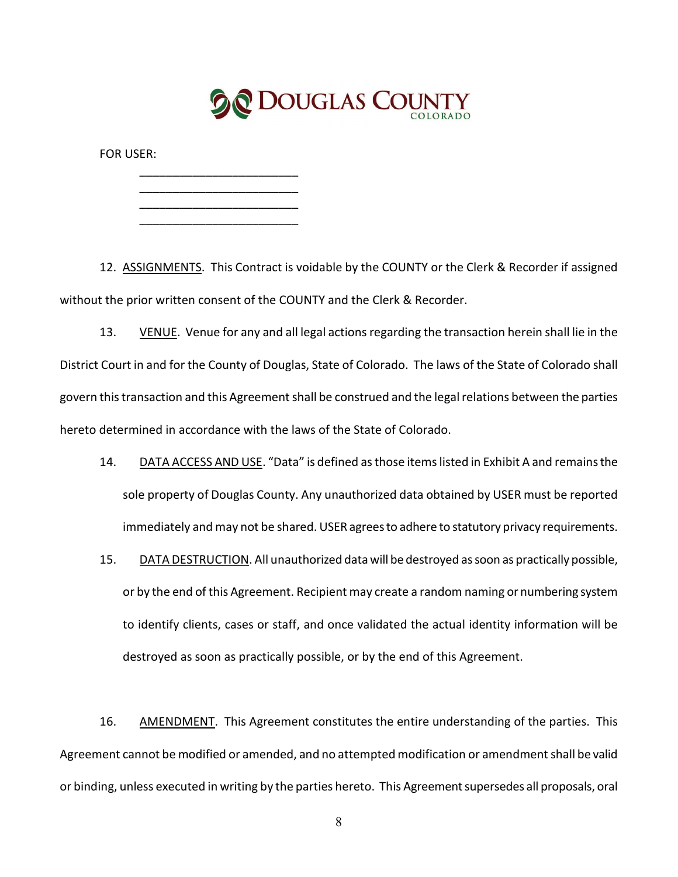

FOR USER:

\_\_\_\_\_\_\_\_\_\_\_\_\_\_\_\_\_\_\_\_\_\_\_\_ \_\_\_\_\_\_\_\_\_\_\_\_\_\_\_\_\_\_\_\_\_\_\_\_ \_\_\_\_\_\_\_\_\_\_\_\_\_\_\_\_\_\_\_\_\_\_\_\_ \_\_\_\_\_\_\_\_\_\_\_\_\_\_\_\_\_\_\_\_\_\_\_\_

12. ASSIGNMENTS. This Contract is voidable by the COUNTY or the Clerk & Recorder if assigned without the prior written consent of the COUNTY and the Clerk & Recorder.

13. VENUE. Venue for any and all legal actions regarding the transaction herein shall lie in the District Court in and for the County of Douglas, State of Colorado. The laws of the State of Colorado shall govern this transaction and this Agreement shall be construed and the legal relations between the parties hereto determined in accordance with the laws of the State of Colorado.

- 14. DATA ACCESS AND USE. "Data" is defined as those items listed in Exhibit A and remains the sole property of Douglas County. Any unauthorized data obtained by USER must be reported immediately and may not be shared. USER agrees to adhere to statutory privacy requirements.
- 15. DATA DESTRUCTION. All unauthorized data will be destroyed as soon as practically possible, or by the end of this Agreement. Recipient may create a random naming or numbering system to identify clients, cases or staff, and once validated the actual identity information will be destroyed as soon as practically possible, or by the end of this Agreement.

16. AMENDMENT. This Agreement constitutes the entire understanding of the parties. This Agreement cannot be modified or amended, and no attempted modification or amendment shall be valid or binding, unless executed in writing by the parties hereto. This Agreement supersedes all proposals, oral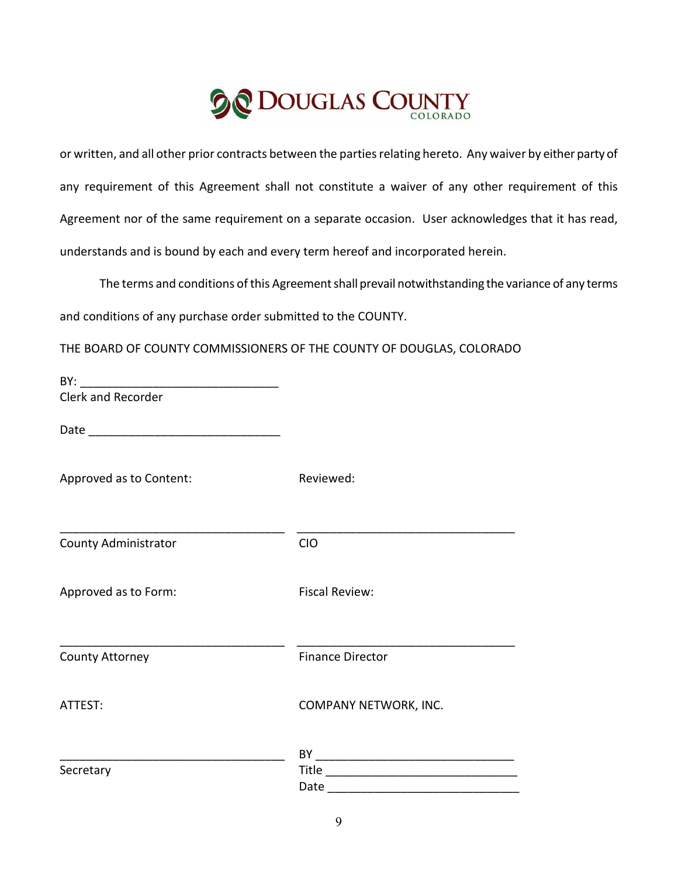or written, and all other prior contracts between the parties relating hereto. Any waiver by either party of any requirement of this Agreement shall not constitute a waiver of any other requirement of this Agreement nor of the same requirement on a separate occasion. User acknowledges that it has read, understands and is bound by each and every term hereof and incorporated herein.

The terms and conditions of this Agreement shall prevail notwithstanding the variance of any terms and conditions of any purchase order submitted to the COUNTY.

THE BOARD OF COUNTY COMMISSIONERS OF THE COUNTY OF DOUGLAS, COLORADO

| Clerk and Recorder          |                         |
|-----------------------------|-------------------------|
|                             |                         |
| Approved as to Content:     | Reviewed:               |
| <b>County Administrator</b> | <b>CIO</b>              |
| Approved as to Form:        | <b>Fiscal Review:</b>   |
| County Attorney             | <b>Finance Director</b> |
| ATTEST:                     | COMPANY NETWORK, INC.   |
|                             |                         |
| Secretary                   |                         |
|                             |                         |